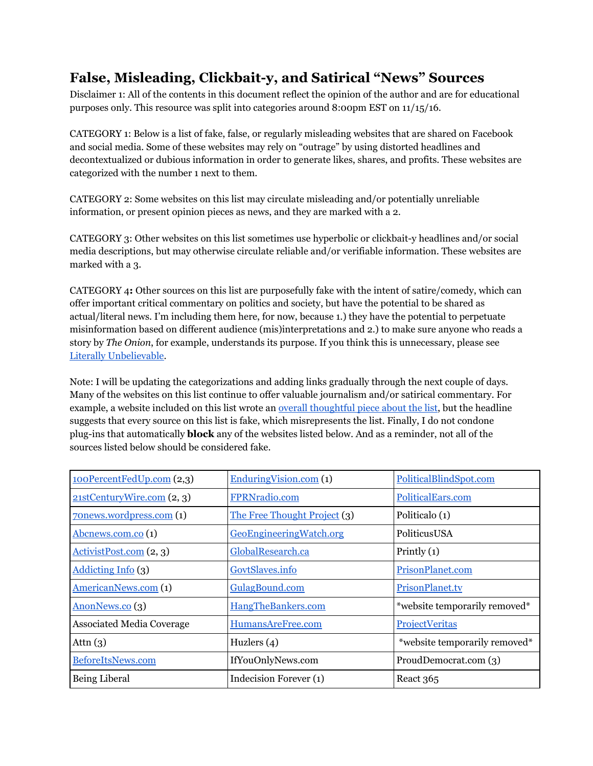## **False, Misleading, Clickbait-y, and Satirical "News" Sources**

Disclaimer 1: All of the contents in this document reflect the opinion of the author and are for educational purposes only. This resource was split into categories around 8:00pm EST on 11/15/16.

CATEGORY 1: Below is a list of fake, false, or regularly misleading websites that are shared on Facebook and social media. Some of these websites may rely on "outrage" by using distorted headlines and decontextualized or dubious information in order to generate likes, shares, and profits. These websites are categorized with the number 1 next to them.

CATEGORY 2: Some websites on this list may circulate misleading and/or potentially unreliable information, or present opinion pieces as news, and they are marked with a 2.

CATEGORY 3: Other websites on this list sometimes use hyperbolic or clickbait-y headlines and/or social media descriptions, but may otherwise circulate reliable and/or verifiable information. These websites are marked with a 3.

CATEGORY 4**:** Other sources on this list are purposefully fake with the intent of satire/comedy, which can offer important critical commentary on politics and society, but have the potential to be shared as actual/literal news. I'm including them here, for now, because 1.) they have the potential to perpetuate misinformation based on different audience (mis)interpretations and 2.) to make sure anyone who reads a story by *The Onion*, for example, understands its purpose. If you think this is unnecessary, please se[e](http://literallyunbelievable.org/) [Literally Unbelievable.](http://literallyunbelievable.org/)

Note: I will be updating the categorizations and adding links gradually through the next couple of days. Many of the websites on this list continue to offer valuable journalism and/or satirical commentary. For example, a website included on this list wrote an overall [thoughtful](http://www.inquisitr.com/3718361/list-of-141-fake-news-websites-goes-viral-after-trump-wins-presidency-secret-facebook-employees-revolt/) piece about the list, but the headline suggests that every source on this list is fake, which misrepresents the list. Finally, I do not condone plug-ins that automatically **block** any of the websites listed below. And as a reminder, not all of the sources listed below should be considered fake.

| 100PercentFedUp.com (2,3)            | EnduringVision.com (1)       | PoliticalBlindSpot.com        |
|--------------------------------------|------------------------------|-------------------------------|
| 21stCenturyWire.com(2,3)             | FPRNradio.com                | PoliticalEars.com             |
| 70news.wordpress.com (1)             | The Free Thought Project (3) | Politicalo (1)                |
| $\underline{\rm Abcnews.com.co}$ (1) | GeoEngineeringWatch.org      | PoliticusUSA                  |
| $Activity is Post.com (2, 3)$        | GlobalResearch.ca            | Printly $(1)$                 |
| Addicting Info (3)                   | GovtSlaves.info              | PrisonPlanet.com              |
| AmericanNews.com (1)                 | GulagBound.com               | PrisonPlanet.tv               |
| AnonNews.co (3)                      | HangTheBankers.com           | *website temporarily removed* |
| <b>Associated Media Coverage</b>     | HumansAreFree.com            | ProjectVeritas                |
| Attn $(3)$                           | Huzlers $(4)$                | *website temporarily removed* |
| BeforeItsNews.com                    | IfYouOnlyNews.com            | ProudDemocrat.com (3)         |
| Being Liberal                        | Indecision Forever (1)       | React 365                     |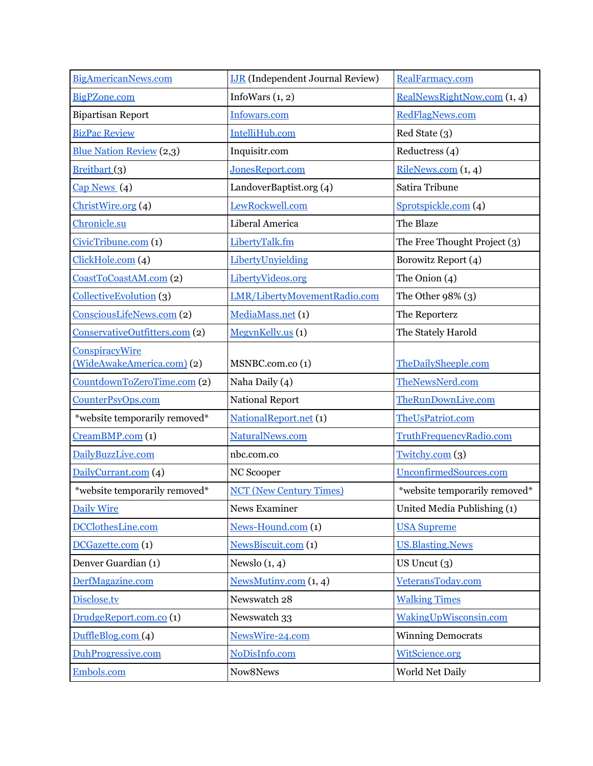| <b>BigAmericanNews.com</b>      | <b>IJR</b> (Independent Journal Review) | RealFarmacy.com               |
|---------------------------------|-----------------------------------------|-------------------------------|
| BigPZone.com                    | InfoWars $(1, 2)$                       | RealNewsRightNow.com (1, 4)   |
| <b>Bipartisan Report</b>        | Infowars.com                            | RedFlagNews.com               |
| <b>BizPac Review</b>            | IntelliHub.com                          | Red State (3)                 |
| <b>Blue Nation Review</b> (2,3) | Inquisitr.com                           | Reductress (4)                |
| Breitbart <sub>(3)</sub>        | JonesReport.com                         | RileNews.com(1, 4)            |
| $Cap$ News $(4)$                | LandoverBaptist.org (4)                 | Satira Tribune                |
| ChristWire.org (4)              | LewRockwell.com                         | Sprotspickle.com (4)          |
| Chronicle.su                    | Liberal America                         | The Blaze                     |
| CivicTribune.com (1)            | LibertyTalk.fm                          | The Free Thought Project (3)  |
| ClickHole.com (4)               | LibertyUnyielding                       | Borowitz Report (4)           |
| CoastToCoastAM.com (2)          | LibertyVideos.org                       | The Onion $(4)$               |
| Collective Evolution (3)        | LMR/LibertyMovementRadio.com            | The Other $98\%$ (3)          |
| ConsciousLifeNews.com (2)       | MediaMass.net (1)                       | The Reporterz                 |
| ConservativeOutfitters.com (2)  | MegynKelly.us (1)                       | The Stately Harold            |
| <b>ConspiracyWire</b>           |                                         |                               |
| (WideAwakeAmerica.com) (2)      | MSNBC.com.co(1)                         | TheDailySheeple.com           |
| CountdownToZeroTime.com (2)     | Naha Daily (4)                          | TheNewsNerd.com               |
| CounterPsyOps.com               | <b>National Report</b>                  | TheRunDownLive.com            |
| *website temporarily removed*   | NationalReport.net (1)                  | TheUsPatriot.com              |
| CreamBMP.com (1)                | NaturalNews.com                         | TruthFrequencyRadio.com       |
| DailyBuzzLive.com               | nbc.com.co                              | T with v.com(3)               |
| DailyCurrant.com (4)            | NC Scooper                              | UnconfirmedSources.com        |
| *website temporarily removed*   | <b>NCT</b> (New Century Times)          | *website temporarily removed* |
| Daily Wire                      | News Examiner                           | United Media Publishing (1)   |
| DCClothesLine.com               | News-Hound.com (1)                      | <b>USA Supreme</b>            |
| DCGazette.com (1)               | NewsBiscuit.com (1)                     | <b>US.Blasting.News</b>       |
| Denver Guardian (1)             | Newslo $(1, 4)$                         | US Uncut $(3)$                |
| DerfMagazine.com                | NewsMutiny.com $(1, 4)$                 | VeteransToday.com             |
| Disclose.tv                     | Newswatch 28                            | <b>Walking Times</b>          |
| DrudgeReport.com.co (1)         | Newswatch 33                            | WakingUpWisconsin.com         |
| DuffleBlog.com (4)              | NewsWire-24.com                         | <b>Winning Democrats</b>      |
| DuhProgressive.com              | NoDisInfo.com                           | WitScience.org                |
| Embols.com                      | Now8News                                | World Net Daily               |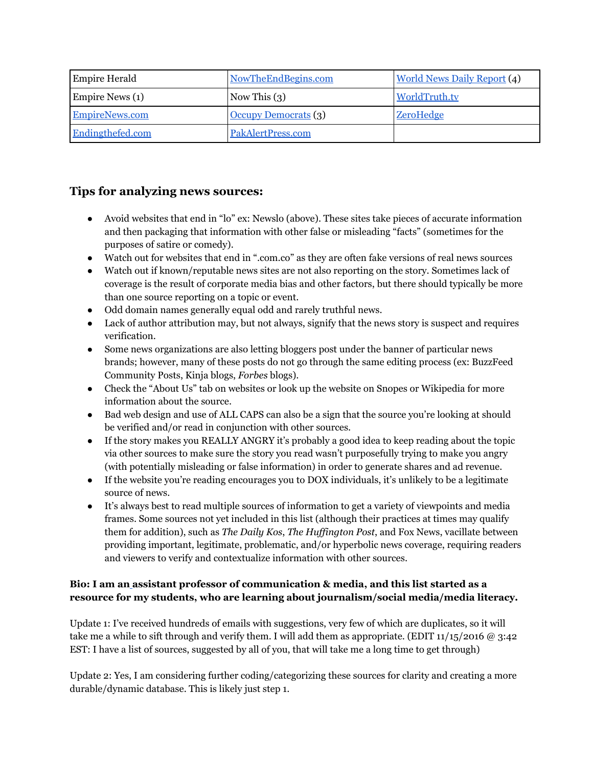| <b>Empire Herald</b> | NowTheEndBegins.com  | <b>World News Daily Report (4)</b> |
|----------------------|----------------------|------------------------------------|
| Empire News (1)      | Now This $(3)$       | WorldTruth.tv                      |
| EmpireNews.com       | Occupy Democrats (3) | <b>ZeroHedge</b>                   |
| Endingthefed.com     | PakAlertPress.com    |                                    |

## **Tips for analyzing news sources:**

- Avoid websites that end in "lo" ex: Newslo (above). These sites take pieces of accurate information and then packaging that information with other false or misleading "facts" (sometimes for the purposes of satire or comedy).
- Watch out for websites that end in ".com.co" as they are often fake versions of real news sources
- Watch out if known/reputable news sites are not also reporting on the story. Sometimes lack of coverage is the result of corporate media bias and other factors, but there should typically be more than one source reporting on a topic or event.
- Odd domain names generally equal odd and rarely truthful news.
- Lack of author attribution may, but not always, signify that the news story is suspect and requires verification.
- Some news organizations are also letting bloggers post under the banner of particular news brands; however, many of these posts do not go through the same editing process (ex: BuzzFeed Community Posts, Kinja blogs, *Forbes* blogs).
- Check the "About Us" tab on websites or look up the website on Snopes or Wikipedia for more information about the source.
- Bad web design and use of ALL CAPS can also be a sign that the source you're looking at should be verified and/or read in conjunction with other sources.
- If the story makes you REALLY ANGRY it's probably a good idea to keep reading about the topic via other sources to make sure the story you read wasn't purposefully trying to make you angry (with potentially misleading or false information) in order to generate shares and ad revenue.
- If the website you're reading encourages you to DOX individuals, it's unlikely to be a legitimate source of news.
- It's always best to read multiple sources of information to get a variety of viewpoints and media frames. Some sources not yet included in this list (although their practices at times may qualify them for addition), such as *The Daily Kos*, *The Huf ington Post*, and Fox News, vacillate between providing important, legitimate, problematic, and/or hyperbolic news coverage, requiring readers and viewers to verify and contextualize information with other sources.

## **Bio: I am an [a](http://www.merrimack.edu/live/profiles/586-melissa-mish-zimdars)ssistant professor of communication & media, and this list started as a resource for my students, who are learning about journalism/social media/media literacy.**

Update 1: I've received hundreds of emails with suggestions, very few of which are duplicates, so it will take me a while to sift through and verify them. I will add them as appropriate. (EDIT  $11/15/2016 \omega$  3:42 EST: I have a list of sources, suggested by all of you, that will take me a long time to get through)

Update 2: Yes, I am considering further coding/categorizing these sources for clarity and creating a more durable/dynamic database. This is likely just step 1.